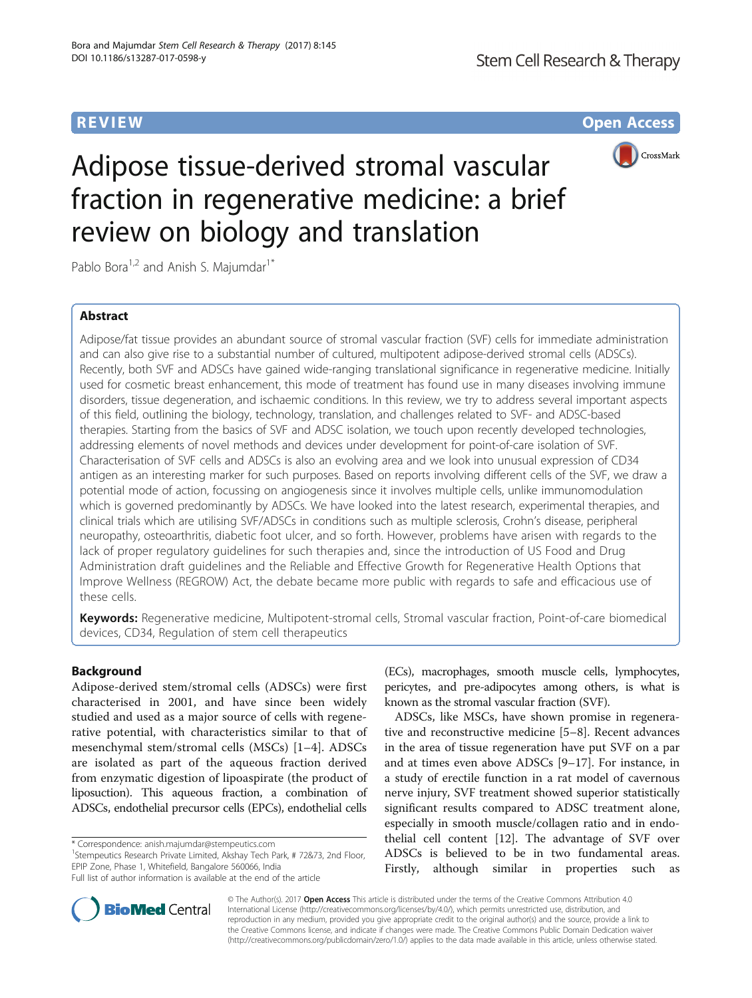**REVIEW CONSTRUCTION CONSTRUCTION CONSTRUCTS** 



# Adipose tissue-derived stromal vascular fraction in regenerative medicine: a brief review on biology and translation

Pablo Bora<sup>1,2</sup> and Anish S. Majumdar<sup>1\*</sup>

# Abstract

Adipose/fat tissue provides an abundant source of stromal vascular fraction (SVF) cells for immediate administration and can also give rise to a substantial number of cultured, multipotent adipose-derived stromal cells (ADSCs). Recently, both SVF and ADSCs have gained wide-ranging translational significance in regenerative medicine. Initially used for cosmetic breast enhancement, this mode of treatment has found use in many diseases involving immune disorders, tissue degeneration, and ischaemic conditions. In this review, we try to address several important aspects of this field, outlining the biology, technology, translation, and challenges related to SVF- and ADSC-based therapies. Starting from the basics of SVF and ADSC isolation, we touch upon recently developed technologies, addressing elements of novel methods and devices under development for point-of-care isolation of SVF. Characterisation of SVF cells and ADSCs is also an evolving area and we look into unusual expression of CD34 antigen as an interesting marker for such purposes. Based on reports involving different cells of the SVF, we draw a potential mode of action, focussing on angiogenesis since it involves multiple cells, unlike immunomodulation which is governed predominantly by ADSCs. We have looked into the latest research, experimental therapies, and clinical trials which are utilising SVF/ADSCs in conditions such as multiple sclerosis, Crohn's disease, peripheral neuropathy, osteoarthritis, diabetic foot ulcer, and so forth. However, problems have arisen with regards to the lack of proper regulatory guidelines for such therapies and, since the introduction of US Food and Drug Administration draft guidelines and the Reliable and Effective Growth for Regenerative Health Options that Improve Wellness (REGROW) Act, the debate became more public with regards to safe and efficacious use of these cells.

Keywords: Regenerative medicine, Multipotent-stromal cells, Stromal vascular fraction, Point-of-care biomedical devices, CD34, Regulation of stem cell therapeutics

# Background

Adipose-derived stem/stromal cells (ADSCs) were first characterised in 2001, and have since been widely studied and used as a major source of cells with regenerative potential, with characteristics similar to that of mesenchymal stem/stromal cells (MSCs) [[1](#page-7-0)–[4](#page-7-0)]. ADSCs are isolated as part of the aqueous fraction derived from enzymatic digestion of lipoaspirate (the product of liposuction). This aqueous fraction, a combination of ADSCs, endothelial precursor cells (EPCs), endothelial cells

<sup>1</sup>Stempeutics Research Private Limited, Akshay Tech Park, # 72&73, 2nd Floor, EPIP Zone, Phase 1, Whitefield, Bangalore 560066, India

(ECs), macrophages, smooth muscle cells, lymphocytes, pericytes, and pre-adipocytes among others, is what is known as the stromal vascular fraction (SVF).

ADSCs, like MSCs, have shown promise in regenerative and reconstructive medicine [\[5](#page-7-0)–[8](#page-7-0)]. Recent advances in the area of tissue regeneration have put SVF on a par and at times even above ADSCs [[9](#page-7-0)–[17\]](#page-7-0). For instance, in a study of erectile function in a rat model of cavernous nerve injury, SVF treatment showed superior statistically significant results compared to ADSC treatment alone, especially in smooth muscle/collagen ratio and in endothelial cell content [\[12\]](#page-7-0). The advantage of SVF over ADSCs is believed to be in two fundamental areas. Firstly, although similar in properties such as



© The Author(s). 2017 **Open Access** This article is distributed under the terms of the Creative Commons Attribution 4.0 International License [\(http://creativecommons.org/licenses/by/4.0/](http://creativecommons.org/licenses/by/4.0/)), which permits unrestricted use, distribution, and reproduction in any medium, provided you give appropriate credit to the original author(s) and the source, provide a link to the Creative Commons license, and indicate if changes were made. The Creative Commons Public Domain Dedication waiver [\(http://creativecommons.org/publicdomain/zero/1.0/](http://creativecommons.org/publicdomain/zero/1.0/)) applies to the data made available in this article, unless otherwise stated.

<sup>\*</sup> Correspondence: [anish.majumdar@stempeutics.com](mailto:anish.majumdar@stempeutics.com) <sup>1</sup>

Full list of author information is available at the end of the article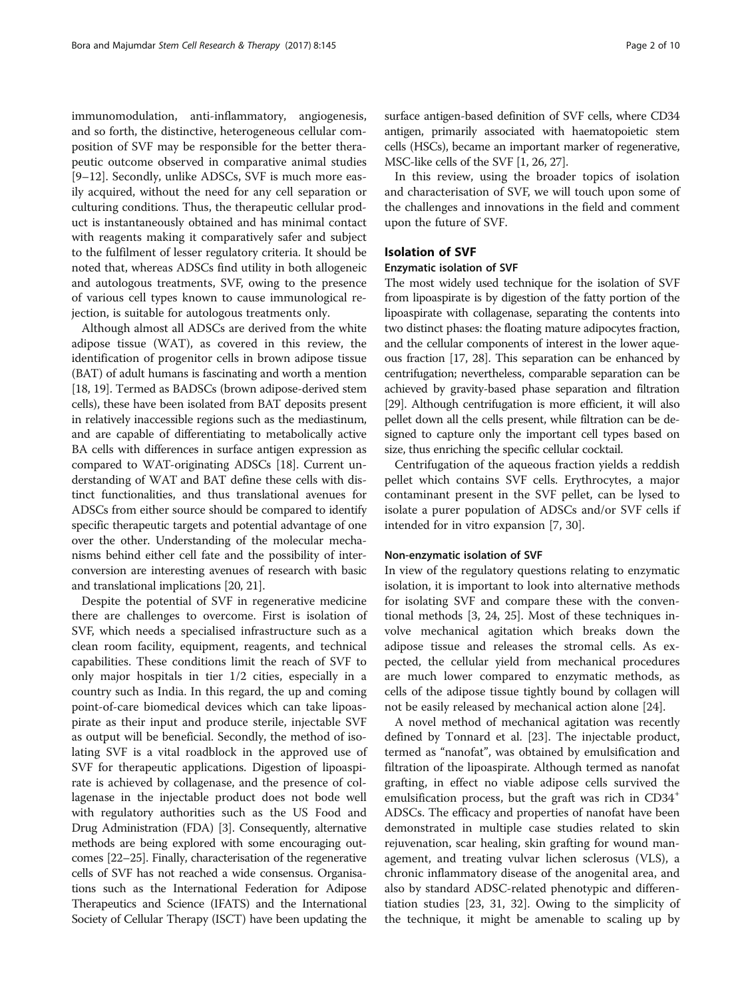immunomodulation, anti-inflammatory, angiogenesis, and so forth, the distinctive, heterogeneous cellular composition of SVF may be responsible for the better therapeutic outcome observed in comparative animal studies [[9](#page-7-0)–[12\]](#page-7-0). Secondly, unlike ADSCs, SVF is much more easily acquired, without the need for any cell separation or culturing conditions. Thus, the therapeutic cellular product is instantaneously obtained and has minimal contact with reagents making it comparatively safer and subject to the fulfilment of lesser regulatory criteria. It should be noted that, whereas ADSCs find utility in both allogeneic and autologous treatments, SVF, owing to the presence of various cell types known to cause immunological rejection, is suitable for autologous treatments only.

Although almost all ADSCs are derived from the white adipose tissue (WAT), as covered in this review, the identification of progenitor cells in brown adipose tissue (BAT) of adult humans is fascinating and worth a mention [[18](#page-7-0), [19\]](#page-7-0). Termed as BADSCs (brown adipose-derived stem cells), these have been isolated from BAT deposits present in relatively inaccessible regions such as the mediastinum, and are capable of differentiating to metabolically active BA cells with differences in surface antigen expression as compared to WAT-originating ADSCs [[18](#page-7-0)]. Current understanding of WAT and BAT define these cells with distinct functionalities, and thus translational avenues for ADSCs from either source should be compared to identify specific therapeutic targets and potential advantage of one over the other. Understanding of the molecular mechanisms behind either cell fate and the possibility of interconversion are interesting avenues of research with basic and translational implications [[20](#page-7-0), [21\]](#page-7-0).

Despite the potential of SVF in regenerative medicine there are challenges to overcome. First is isolation of SVF, which needs a specialised infrastructure such as a clean room facility, equipment, reagents, and technical capabilities. These conditions limit the reach of SVF to only major hospitals in tier 1/2 cities, especially in a country such as India. In this regard, the up and coming point-of-care biomedical devices which can take lipoaspirate as their input and produce sterile, injectable SVF as output will be beneficial. Secondly, the method of isolating SVF is a vital roadblock in the approved use of SVF for therapeutic applications. Digestion of lipoaspirate is achieved by collagenase, and the presence of collagenase in the injectable product does not bode well with regulatory authorities such as the US Food and Drug Administration (FDA) [\[3\]](#page-7-0). Consequently, alternative methods are being explored with some encouraging outcomes [[22](#page-7-0)–[25\]](#page-8-0). Finally, characterisation of the regenerative cells of SVF has not reached a wide consensus. Organisations such as the International Federation for Adipose Therapeutics and Science (IFATS) and the International Society of Cellular Therapy (ISCT) have been updating the

surface antigen-based definition of SVF cells, where CD34 antigen, primarily associated with haematopoietic stem cells (HSCs), became an important marker of regenerative, MSC-like cells of the SVF [\[1,](#page-7-0) [26](#page-8-0), [27](#page-8-0)].

In this review, using the broader topics of isolation and characterisation of SVF, we will touch upon some of the challenges and innovations in the field and comment upon the future of SVF.

# Isolation of SVF

# Enzymatic isolation of SVF

The most widely used technique for the isolation of SVF from lipoaspirate is by digestion of the fatty portion of the lipoaspirate with collagenase, separating the contents into two distinct phases: the floating mature adipocytes fraction, and the cellular components of interest in the lower aqueous fraction [\[17,](#page-7-0) [28\]](#page-8-0). This separation can be enhanced by centrifugation; nevertheless, comparable separation can be achieved by gravity-based phase separation and filtration [[29](#page-8-0)]. Although centrifugation is more efficient, it will also pellet down all the cells present, while filtration can be designed to capture only the important cell types based on size, thus enriching the specific cellular cocktail.

Centrifugation of the aqueous fraction yields a reddish pellet which contains SVF cells. Erythrocytes, a major contaminant present in the SVF pellet, can be lysed to isolate a purer population of ADSCs and/or SVF cells if intended for in vitro expansion [\[7](#page-7-0), [30\]](#page-8-0).

#### Non-enzymatic isolation of SVF

In view of the regulatory questions relating to enzymatic isolation, it is important to look into alternative methods for isolating SVF and compare these with the conventional methods [\[3](#page-7-0), [24, 25](#page-8-0)]. Most of these techniques involve mechanical agitation which breaks down the adipose tissue and releases the stromal cells. As expected, the cellular yield from mechanical procedures are much lower compared to enzymatic methods, as cells of the adipose tissue tightly bound by collagen will not be easily released by mechanical action alone [\[24](#page-8-0)].

A novel method of mechanical agitation was recently defined by Tonnard et al. [\[23](#page-7-0)]. The injectable product, termed as "nanofat", was obtained by emulsification and filtration of the lipoaspirate. Although termed as nanofat grafting, in effect no viable adipose cells survived the emulsification process, but the graft was rich in CD34<sup>+</sup> ADSCs. The efficacy and properties of nanofat have been demonstrated in multiple case studies related to skin rejuvenation, scar healing, skin grafting for wound management, and treating vulvar lichen sclerosus (VLS), a chronic inflammatory disease of the anogenital area, and also by standard ADSC-related phenotypic and differentiation studies [[23](#page-7-0), [31](#page-8-0), [32\]](#page-8-0). Owing to the simplicity of the technique, it might be amenable to scaling up by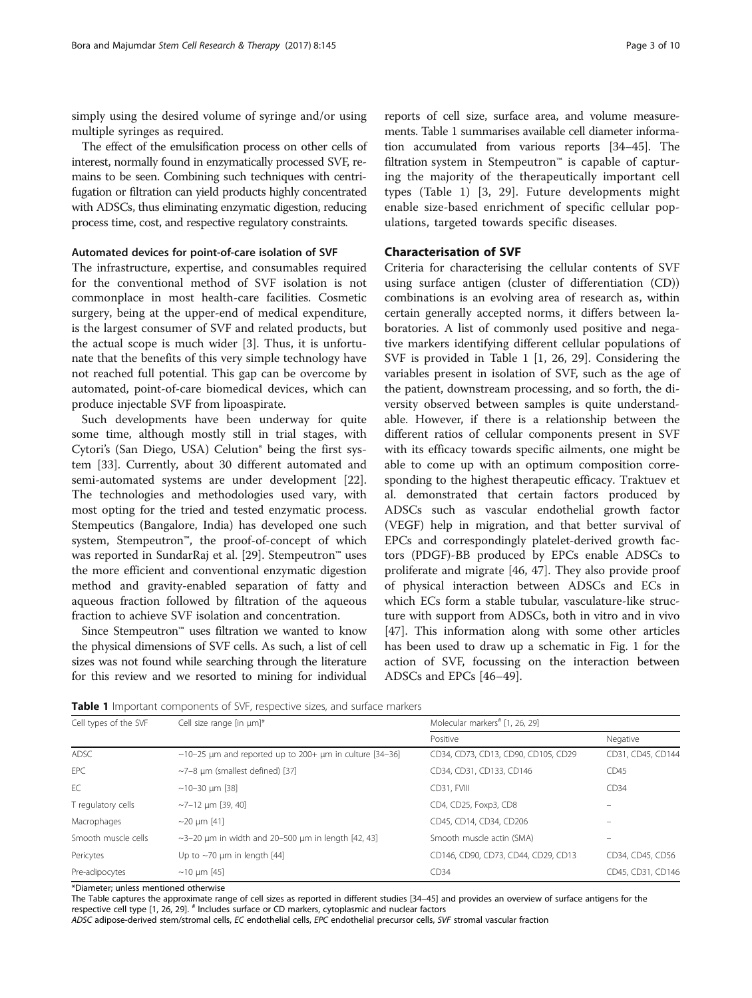simply using the desired volume of syringe and/or using multiple syringes as required.

The effect of the emulsification process on other cells of interest, normally found in enzymatically processed SVF, remains to be seen. Combining such techniques with centrifugation or filtration can yield products highly concentrated with ADSCs, thus eliminating enzymatic digestion, reducing process time, cost, and respective regulatory constraints.

# Automated devices for point-of-care isolation of SVF

The infrastructure, expertise, and consumables required for the conventional method of SVF isolation is not commonplace in most health-care facilities. Cosmetic surgery, being at the upper-end of medical expenditure, is the largest consumer of SVF and related products, but the actual scope is much wider [\[3](#page-7-0)]. Thus, it is unfortunate that the benefits of this very simple technology have not reached full potential. This gap can be overcome by automated, point-of-care biomedical devices, which can produce injectable SVF from lipoaspirate.

Such developments have been underway for quite some time, although mostly still in trial stages, with Cytori's (San Diego, USA) Celution® being the first system [\[33](#page-8-0)]. Currently, about 30 different automated and semi-automated systems are under development [\[22](#page-7-0)]. The technologies and methodologies used vary, with most opting for the tried and tested enzymatic process. Stempeutics (Bangalore, India) has developed one such system, Stempeutron™, the proof-of-concept of which was reported in SundarRaj et al. [\[29](#page-8-0)]. Stempeutron™ uses the more efficient and conventional enzymatic digestion method and gravity-enabled separation of fatty and aqueous fraction followed by filtration of the aqueous fraction to achieve SVF isolation and concentration.

Since Stempeutron™ uses filtration we wanted to know the physical dimensions of SVF cells. As such, a list of cell sizes was not found while searching through the literature for this review and we resorted to mining for individual ments. Table 1 summarises available cell diameter information accumulated from various reports [[34](#page-8-0)–[45](#page-8-0)]. The filtration system in Stempeutron™ is capable of capturing the majority of the therapeutically important cell types (Table 1) [[3,](#page-7-0) [29](#page-8-0)]. Future developments might enable size-based enrichment of specific cellular populations, targeted towards specific diseases.

# Characterisation of SVF

Criteria for characterising the cellular contents of SVF using surface antigen (cluster of differentiation (CD)) combinations is an evolving area of research as, within certain generally accepted norms, it differs between laboratories. A list of commonly used positive and negative markers identifying different cellular populations of SVF is provided in Table 1 [[1,](#page-7-0) [26, 29\]](#page-8-0). Considering the variables present in isolation of SVF, such as the age of the patient, downstream processing, and so forth, the diversity observed between samples is quite understandable. However, if there is a relationship between the different ratios of cellular components present in SVF with its efficacy towards specific ailments, one might be able to come up with an optimum composition corresponding to the highest therapeutic efficacy. Traktuev et al. demonstrated that certain factors produced by ADSCs such as vascular endothelial growth factor (VEGF) help in migration, and that better survival of EPCs and correspondingly platelet-derived growth factors (PDGF)-BB produced by EPCs enable ADSCs to proliferate and migrate [[46, 47\]](#page-8-0). They also provide proof of physical interaction between ADSCs and ECs in which ECs form a stable tubular, vasculature-like structure with support from ADSCs, both in vitro and in vivo [[47\]](#page-8-0). This information along with some other articles has been used to draw up a schematic in Fig. [1](#page-3-0) for the action of SVF, focussing on the interaction between ADSCs and EPCs [[46](#page-8-0)–[49](#page-8-0)].

Table 1 Important components of SVF, respective sizes, and surface markers

| Cell types of the SVF | Cell size range [in µm]*                                      | Molecular markers <sup>#</sup> [1, 26, 29] |                   |
|-----------------------|---------------------------------------------------------------|--------------------------------------------|-------------------|
|                       |                                                               | Positive                                   | Negative          |
| ADSC                  | $\sim$ 10-25 µm and reported up to 200+ µm in culture [34-36] | CD34, CD73, CD13, CD90, CD105, CD29        | CD31, CD45, CD144 |
| EPC                   | $\sim$ 7–8 µm (smallest defined) [37]                         | CD34, CD31, CD133, CD146                   | CD45              |
| EC                    | $~10-30$ µm [38]                                              | CD31, FVIII                                | CD34              |
| T regulatory cells    | $\sim$ 7-12 µm [39, 40]                                       | CD4, CD25, Foxp3, CD8                      |                   |
| Macrophages           | $\sim$ 20 µm [41]                                             | CD45, CD14, CD34, CD206                    |                   |
| Smooth muscle cells   | $\sim$ 3-20 µm in width and 20-500 µm in length [42, 43]      | Smooth muscle actin (SMA)                  |                   |
| Pericytes             | Up to $\sim$ 70 µm in length [44]                             | CD146, CD90, CD73, CD44, CD29, CD13        | CD34, CD45, CD56  |
| Pre-adipocytes        | $\sim$ 10 µm [45]                                             | CD34                                       | CD45, CD31, CD146 |

\*Diameter; unless mentioned otherwise

The Table captures the approximate range of cell sizes as reported in different studies [[34](#page-8-0)–[45](#page-8-0)] and provides an overview of surface antigens for the respective cell type [\[1](#page-7-0), [26](#page-8-0), [29](#page-8-0)]. # Includes surface or CD markers, cytoplasmic and nuclear factors

ADSC adipose-derived stem/stromal cells, EC endothelial cells, EPC endothelial precursor cells, SVF stromal vascular fraction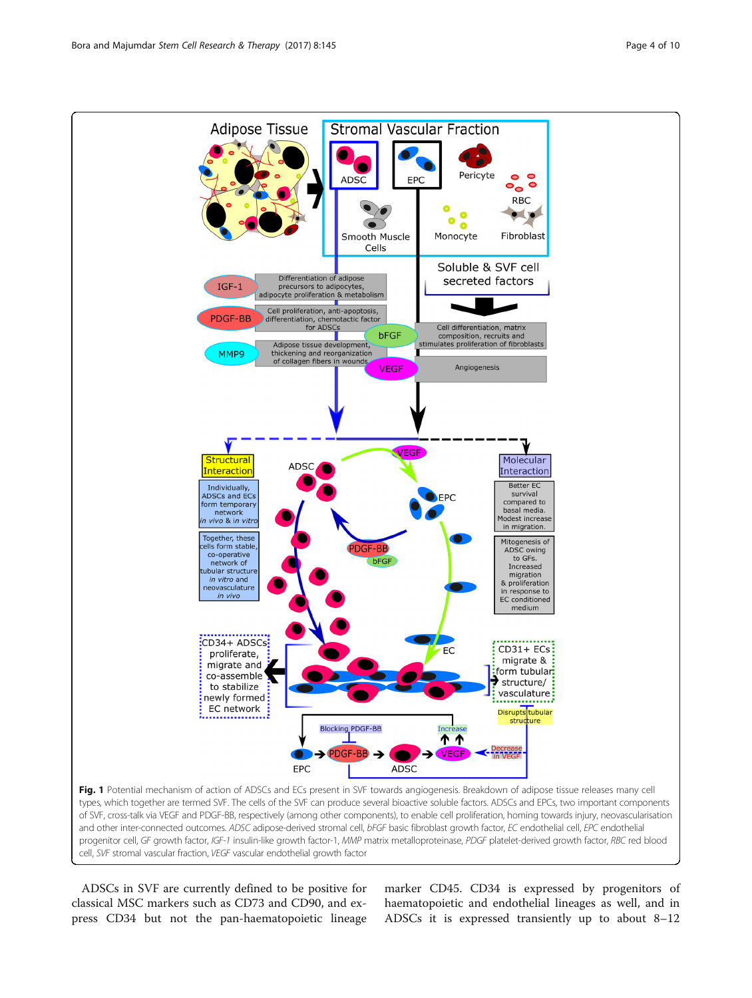<span id="page-3-0"></span>

progenitor cell, GF growth factor, IGF-1 insulin-like growth factor-1, MMP matrix metalloproteinase, PDGF platelet-derived growth factor, RBC red blood cell, SVF stromal vascular fraction, VEGF vascular endothelial growth factor

ADSCs in SVF are currently defined to be positive for classical MSC markers such as CD73 and CD90, and express CD34 but not the pan-haematopoietic lineage

marker CD45. CD34 is expressed by progenitors of haematopoietic and endothelial lineages as well, and in ADSCs it is expressed transiently up to about 8–12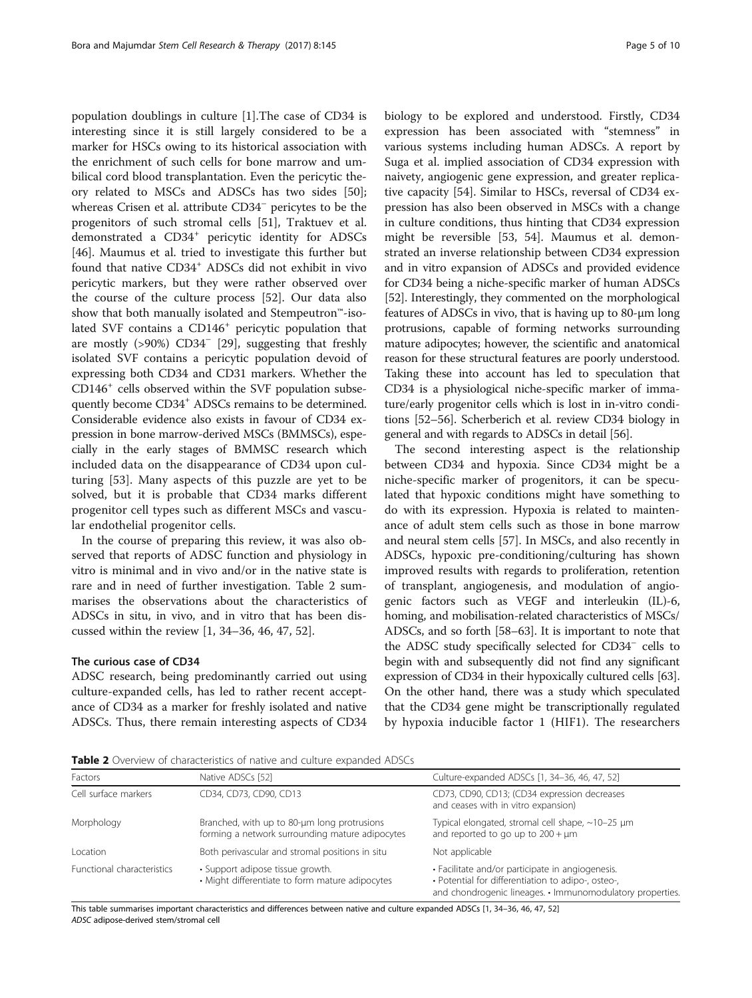population doublings in culture [[1\]](#page-7-0).The case of CD34 is interesting since it is still largely considered to be a marker for HSCs owing to its historical association with the enrichment of such cells for bone marrow and umbilical cord blood transplantation. Even the pericytic theory related to MSCs and ADSCs has two sides [\[50](#page-8-0)]; whereas Crisen et al. attribute CD34– pericytes to be the progenitors of such stromal cells [\[51\]](#page-8-0), Traktuev et al. demonstrated a CD34<sup>+</sup> pericytic identity for ADSCs [[46\]](#page-8-0). Maumus et al. tried to investigate this further but found that native CD34<sup>+</sup> ADSCs did not exhibit in vivo pericytic markers, but they were rather observed over the course of the culture process [\[52](#page-8-0)]. Our data also show that both manually isolated and Stempeutron™-isolated SVF contains a CD146<sup>+</sup> pericytic population that are mostly (>90%) CD34– [\[29](#page-8-0)], suggesting that freshly isolated SVF contains a pericytic population devoid of expressing both CD34 and CD31 markers. Whether the  $CD146<sup>+</sup>$  cells observed within the SVF population subsequently become CD34+ ADSCs remains to be determined. Considerable evidence also exists in favour of CD34 expression in bone marrow-derived MSCs (BMMSCs), especially in the early stages of BMMSC research which included data on the disappearance of CD34 upon culturing [[53\]](#page-8-0). Many aspects of this puzzle are yet to be solved, but it is probable that CD34 marks different progenitor cell types such as different MSCs and vascular endothelial progenitor cells.

In the course of preparing this review, it was also observed that reports of ADSC function and physiology in vitro is minimal and in vivo and/or in the native state is rare and in need of further investigation. Table 2 summarises the observations about the characteristics of ADSCs in situ, in vivo, and in vitro that has been discussed within the review [[1,](#page-7-0) [34](#page-8-0)–[36](#page-8-0), [46](#page-8-0), [47](#page-8-0), [52\]](#page-8-0).

### The curious case of CD34

ADSC research, being predominantly carried out using culture-expanded cells, has led to rather recent acceptance of CD34 as a marker for freshly isolated and native ADSCs. Thus, there remain interesting aspects of CD34 biology to be explored and understood. Firstly, CD34 expression has been associated with "stemness" in various systems including human ADSCs. A report by Suga et al. implied association of CD34 expression with naivety, angiogenic gene expression, and greater replicative capacity [\[54\]](#page-8-0). Similar to HSCs, reversal of CD34 expression has also been observed in MSCs with a change in culture conditions, thus hinting that CD34 expression might be reversible [[53, 54](#page-8-0)]. Maumus et al. demonstrated an inverse relationship between CD34 expression and in vitro expansion of ADSCs and provided evidence for CD34 being a niche-specific marker of human ADSCs [[52](#page-8-0)]. Interestingly, they commented on the morphological features of ADSCs in vivo, that is having up to 80-μm long protrusions, capable of forming networks surrounding mature adipocytes; however, the scientific and anatomical reason for these structural features are poorly understood. Taking these into account has led to speculation that CD34 is a physiological niche-specific marker of immature/early progenitor cells which is lost in in-vitro conditions [\[52](#page-8-0)–[56](#page-8-0)]. Scherberich et al. review CD34 biology in general and with regards to ADSCs in detail [\[56\]](#page-8-0).

The second interesting aspect is the relationship between CD34 and hypoxia. Since CD34 might be a niche-specific marker of progenitors, it can be speculated that hypoxic conditions might have something to do with its expression. Hypoxia is related to maintenance of adult stem cells such as those in bone marrow and neural stem cells [\[57\]](#page-8-0). In MSCs, and also recently in ADSCs, hypoxic pre-conditioning/culturing has shown improved results with regards to proliferation, retention of transplant, angiogenesis, and modulation of angiogenic factors such as VEGF and interleukin (IL)-6, homing, and mobilisation-related characteristics of MSCs/ ADSCs, and so forth [\[58](#page-8-0)–[63](#page-8-0)]. It is important to note that the ADSC study specifically selected for CD34– cells to begin with and subsequently did not find any significant expression of CD34 in their hypoxically cultured cells [[63](#page-8-0)]. On the other hand, there was a study which speculated that the CD34 gene might be transcriptionally regulated by hypoxia inducible factor 1 (HIF1). The researchers

Table 2 Overview of characteristics of native and culture expanded ADSCs

| Factors                    | Native ADSCs [52]                                                                              | Culture-expanded ADSCs [1, 34-36, 46, 47, 52]                                                                                                                       |
|----------------------------|------------------------------------------------------------------------------------------------|---------------------------------------------------------------------------------------------------------------------------------------------------------------------|
| Cell surface markers       | CD34, CD73, CD90, CD13                                                                         | CD73, CD90, CD13; (CD34 expression decreases<br>and ceases with in vitro expansion)                                                                                 |
| Morphology                 | Branched, with up to 80-um long protrusions<br>forming a network surrounding mature adipocytes | Typical elongated, stromal cell shape, ~10-25 µm<br>and reported to go up to $200 + \mu m$                                                                          |
| Location                   | Both perivascular and stromal positions in situ                                                | Not applicable                                                                                                                                                      |
| Functional characteristics | • Support adipose tissue growth.<br>• Might differentiate to form mature adipocytes            | • Facilitate and/or participate in angiogenesis.<br>· Potential for differentiation to adipo-, osteo-,<br>and chondrogenic lineages. • Immunomodulatory properties. |

This table summarises important characteristics and differences between native and culture expanded ADSCs [\[1](#page-7-0), [34](#page-8-0)–[36](#page-8-0), [46,](#page-8-0) [47,](#page-8-0) [52](#page-8-0)] ADSC adipose-derived stem/stromal cell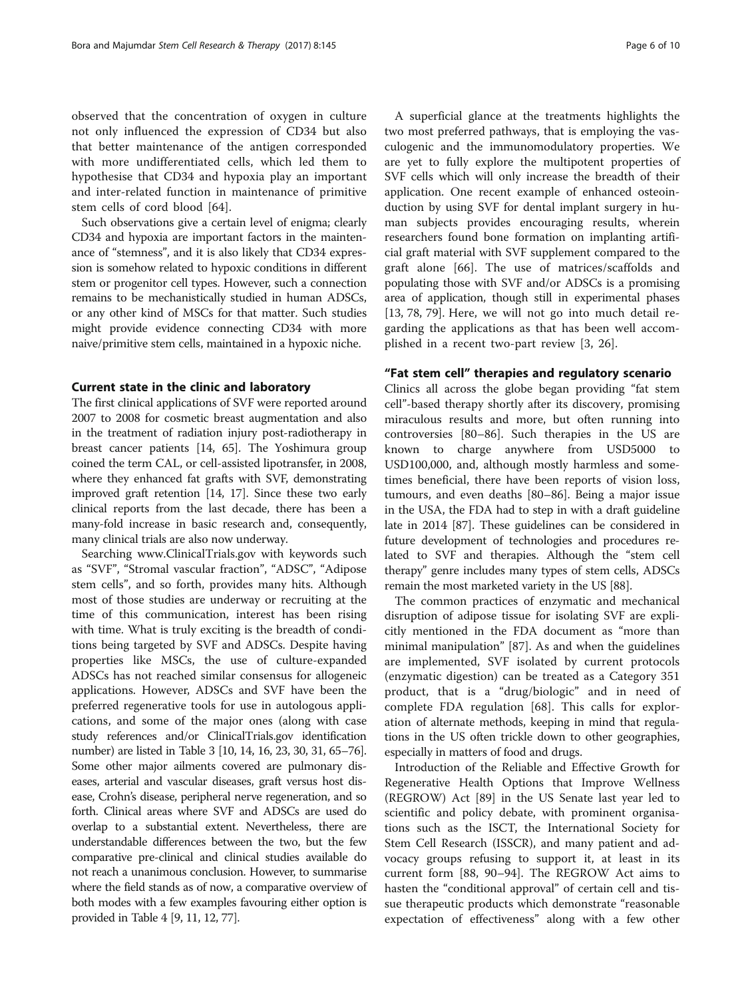observed that the concentration of oxygen in culture not only influenced the expression of CD34 but also that better maintenance of the antigen corresponded with more undifferentiated cells, which led them to hypothesise that CD34 and hypoxia play an important and inter-related function in maintenance of primitive stem cells of cord blood [[64](#page-8-0)].

Such observations give a certain level of enigma; clearly CD34 and hypoxia are important factors in the maintenance of "stemness", and it is also likely that CD34 expression is somehow related to hypoxic conditions in different stem or progenitor cell types. However, such a connection remains to be mechanistically studied in human ADSCs, or any other kind of MSCs for that matter. Such studies might provide evidence connecting CD34 with more naive/primitive stem cells, maintained in a hypoxic niche.

#### Current state in the clinic and laboratory

The first clinical applications of SVF were reported around 2007 to 2008 for cosmetic breast augmentation and also in the treatment of radiation injury post-radiotherapy in breast cancer patients [[14](#page-7-0), [65\]](#page-8-0). The Yoshimura group coined the term CAL, or cell-assisted lipotransfer, in 2008, where they enhanced fat grafts with SVF, demonstrating improved graft retention [\[14, 17\]](#page-7-0). Since these two early clinical reports from the last decade, there has been a many-fold increase in basic research and, consequently, many clinical trials are also now underway.

Searching [www.ClinicalTrials.gov](http://www.clinicaltrials.gov/) with keywords such as "SVF", "Stromal vascular fraction", "ADSC", "Adipose stem cells", and so forth, provides many hits. Although most of those studies are underway or recruiting at the time of this communication, interest has been rising with time. What is truly exciting is the breadth of conditions being targeted by SVF and ADSCs. Despite having properties like MSCs, the use of culture-expanded ADSCs has not reached similar consensus for allogeneic applications. However, ADSCs and SVF have been the preferred regenerative tools for use in autologous applications, and some of the major ones (along with case study references and/or ClinicalTrials.gov identification number) are listed in Table [3](#page-6-0) [\[10](#page-7-0), [14, 16, 23,](#page-7-0) [30, 31](#page-8-0), [65](#page-8-0)–[76](#page-9-0)]. Some other major ailments covered are pulmonary diseases, arterial and vascular diseases, graft versus host disease, Crohn's disease, peripheral nerve regeneration, and so forth. Clinical areas where SVF and ADSCs are used do overlap to a substantial extent. Nevertheless, there are understandable differences between the two, but the few comparative pre-clinical and clinical studies available do not reach a unanimous conclusion. However, to summarise where the field stands as of now, a comparative overview of both modes with a few examples favouring either option is provided in Table [4](#page-6-0) [\[9, 11, 12,](#page-7-0) [77\]](#page-9-0).

A superficial glance at the treatments highlights the two most preferred pathways, that is employing the vasculogenic and the immunomodulatory properties. We are yet to fully explore the multipotent properties of SVF cells which will only increase the breadth of their application. One recent example of enhanced osteoinduction by using SVF for dental implant surgery in human subjects provides encouraging results, wherein researchers found bone formation on implanting artificial graft material with SVF supplement compared to the graft alone [\[66](#page-8-0)]. The use of matrices/scaffolds and populating those with SVF and/or ADSCs is a promising area of application, though still in experimental phases [[13](#page-7-0), [78](#page-9-0), [79](#page-9-0)]. Here, we will not go into much detail regarding the applications as that has been well accomplished in a recent two-part review [[3,](#page-7-0) [26\]](#page-8-0).

## "Fat stem cell" therapies and regulatory scenario

Clinics all across the globe began providing "fat stem cell"-based therapy shortly after its discovery, promising miraculous results and more, but often running into controversies [\[80](#page-9-0)–[86\]](#page-9-0). Such therapies in the US are known to charge anywhere from USD5000 to USD100,000, and, although mostly harmless and sometimes beneficial, there have been reports of vision loss, tumours, and even deaths [[80](#page-9-0)–[86](#page-9-0)]. Being a major issue in the USA, the FDA had to step in with a draft guideline late in 2014 [\[87\]](#page-9-0). These guidelines can be considered in future development of technologies and procedures related to SVF and therapies. Although the "stem cell therapy" genre includes many types of stem cells, ADSCs remain the most marketed variety in the US [\[88\]](#page-9-0).

The common practices of enzymatic and mechanical disruption of adipose tissue for isolating SVF are explicitly mentioned in the FDA document as "more than minimal manipulation" [[87\]](#page-9-0). As and when the guidelines are implemented, SVF isolated by current protocols (enzymatic digestion) can be treated as a Category 351 product, that is a "drug/biologic" and in need of complete FDA regulation [[68\]](#page-8-0). This calls for exploration of alternate methods, keeping in mind that regulations in the US often trickle down to other geographies, especially in matters of food and drugs.

Introduction of the Reliable and Effective Growth for Regenerative Health Options that Improve Wellness (REGROW) Act [[89\]](#page-9-0) in the US Senate last year led to scientific and policy debate, with prominent organisations such as the ISCT, the International Society for Stem Cell Research (ISSCR), and many patient and advocacy groups refusing to support it, at least in its current form [\[88](#page-9-0), [90](#page-9-0)–[94](#page-9-0)]. The REGROW Act aims to hasten the "conditional approval" of certain cell and tissue therapeutic products which demonstrate "reasonable expectation of effectiveness" along with a few other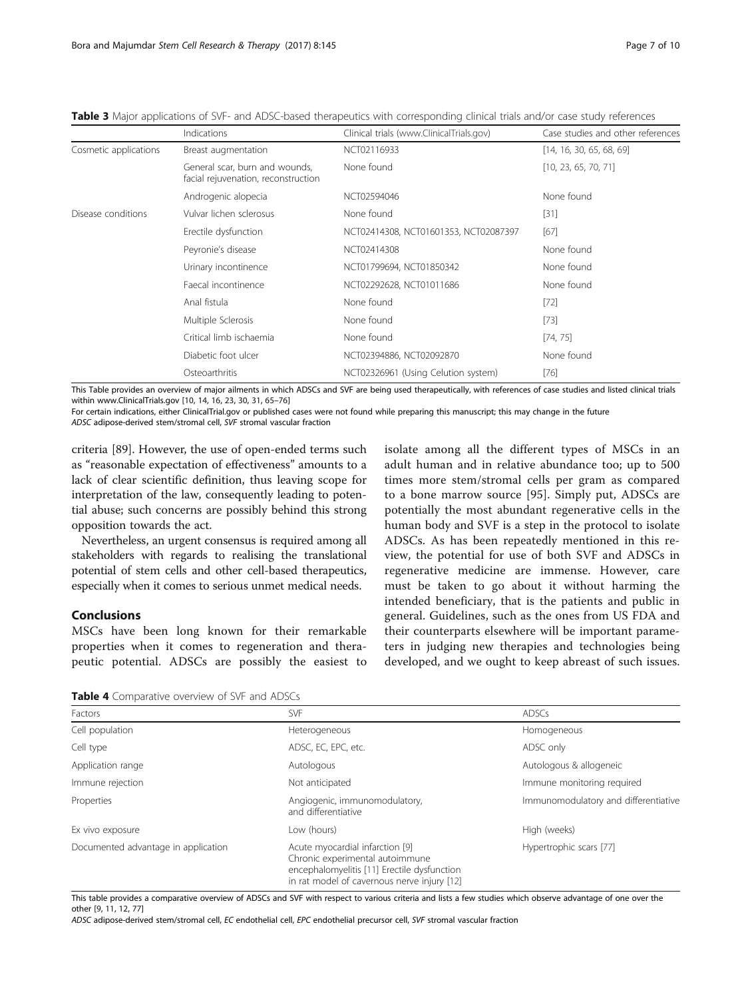|                       | Indications                                                           | Clinical trials (www.ClinicalTrials.gov) | Case studies and other references |
|-----------------------|-----------------------------------------------------------------------|------------------------------------------|-----------------------------------|
| Cosmetic applications | Breast augmentation                                                   | NCT02116933                              | [14, 16, 30, 65, 68, 69]          |
|                       | General scar, burn and wounds,<br>facial rejuvenation, reconstruction | None found                               | [10, 23, 65, 70, 71]              |
|                       | Androgenic alopecia                                                   | NCT02594046                              | None found                        |
| Disease conditions    | Vulvar lichen sclerosus                                               | None found                               | $[31]$                            |
|                       | Erectile dysfunction                                                  | NCT02414308, NCT01601353, NCT02087397    | $[67]$                            |
|                       | Peyronie's disease                                                    | NCT02414308                              | None found                        |
|                       | Urinary incontinence                                                  | NCT01799694, NCT01850342                 | None found                        |
|                       | Faecal incontinence                                                   | NCT02292628, NCT01011686                 | None found                        |
|                       | Anal fistula                                                          | None found                               | $[72]$                            |
|                       | Multiple Sclerosis                                                    | None found                               | $[73]$                            |
|                       | Critical limb ischaemia                                               | None found                               | [74, 75]                          |
|                       | Diabetic foot ulcer                                                   | NCT02394886, NCT02092870                 | None found                        |
|                       | Osteoarthritis                                                        | NCT02326961 (Using Celution system)      | $[76]$                            |

<span id="page-6-0"></span>Table 3 Major applications of SVF- and ADSC-based therapeutics with corresponding clinical trials and/or case study references

This Table provides an overview of major ailments in which ADSCs and SVF are being used therapeutically, with references of case studies and listed clinical trials within www.ClinicalTrials.gov [\[10](#page-7-0), [14](#page-7-0), [16,](#page-7-0) [23](#page-7-0), [30,](#page-8-0) [31,](#page-8-0) [65](#page-8-0)–[76\]](#page-9-0)

For certain indications, either ClinicalTrial.gov or published cases were not found while preparing this manuscript; this may change in the future ADSC adipose-derived stem/stromal cell, SVF stromal vascular fraction

criteria [[89](#page-9-0)]. However, the use of open-ended terms such as "reasonable expectation of effectiveness" amounts to a lack of clear scientific definition, thus leaving scope for interpretation of the law, consequently leading to potential abuse; such concerns are possibly behind this strong opposition towards the act.

Nevertheless, an urgent consensus is required among all stakeholders with regards to realising the translational potential of stem cells and other cell-based therapeutics, especially when it comes to serious unmet medical needs.

# Conclusions

MSCs have been long known for their remarkable properties when it comes to regeneration and therapeutic potential. ADSCs are possibly the easiest to isolate among all the different types of MSCs in an adult human and in relative abundance too; up to 500 times more stem/stromal cells per gram as compared to a bone marrow source [\[95](#page-9-0)]. Simply put, ADSCs are potentially the most abundant regenerative cells in the human body and SVF is a step in the protocol to isolate ADSCs. As has been repeatedly mentioned in this review, the potential for use of both SVF and ADSCs in regenerative medicine are immense. However, care must be taken to go about it without harming the intended beneficiary, that is the patients and public in general. Guidelines, such as the ones from US FDA and their counterparts elsewhere will be important parameters in judging new therapies and technologies being developed, and we ought to keep abreast of such issues.

| Table 4 Comparative overview of SVF and ADSCs |
|-----------------------------------------------|
|-----------------------------------------------|

| Factors                             | SVF                                                                                                                                                              | ADSCs                                |  |  |  |
|-------------------------------------|------------------------------------------------------------------------------------------------------------------------------------------------------------------|--------------------------------------|--|--|--|
| Cell population                     | Heterogeneous                                                                                                                                                    | Homogeneous                          |  |  |  |
| Cell type                           | ADSC, EC, EPC, etc.                                                                                                                                              | ADSC only                            |  |  |  |
| Application range                   | Autologous                                                                                                                                                       | Autologous & allogeneic              |  |  |  |
| Immune rejection                    | Not anticipated                                                                                                                                                  | Immune monitoring required           |  |  |  |
| Properties                          | Angiogenic, immunomodulatory,<br>and differentiative                                                                                                             | Immunomodulatory and differentiative |  |  |  |
| Ex vivo exposure                    | Low (hours)                                                                                                                                                      | High (weeks)                         |  |  |  |
| Documented advantage in application | Acute myocardial infarction [9]<br>Chronic experimental autoimmune<br>encephalomyelitis [11] Erectile dysfunction<br>in rat model of cavernous nerve injury [12] | Hypertrophic scars [77]              |  |  |  |

This table provides a comparative overview of ADSCs and SVF with respect to various criteria and lists a few studies which observe advantage of one over the other [\[9](#page-7-0), [11,](#page-7-0) [12](#page-7-0), [77\]](#page-9-0)

ADSC adipose-derived stem/stromal cell, EC endothelial cell, EPC endothelial precursor cell, SVF stromal vascular fraction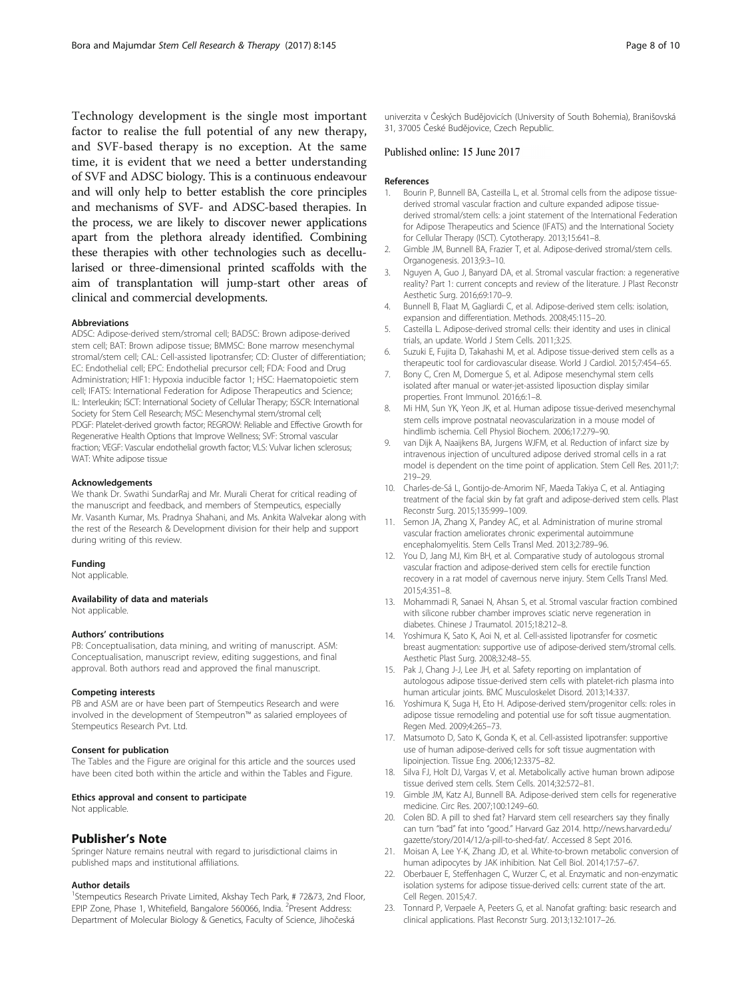<span id="page-7-0"></span>Technology development is the single most important factor to realise the full potential of any new therapy, and SVF-based therapy is no exception. At the same time, it is evident that we need a better understanding of SVF and ADSC biology. This is a continuous endeavour and will only help to better establish the core principles and mechanisms of SVF- and ADSC-based therapies. In the process, we are likely to discover newer applications apart from the plethora already identified. Combining these therapies with other technologies such as decellularised or three-dimensional printed scaffolds with the aim of transplantation will jump-start other areas of clinical and commercial developments.

#### Abbreviations

ADSC: Adipose-derived stem/stromal cell; BADSC: Brown adipose-derived stem cell; BAT: Brown adipose tissue; BMMSC: Bone marrow mesenchymal stromal/stem cell; CAL: Cell-assisted lipotransfer; CD: Cluster of differentiation; EC: Endothelial cell; EPC: Endothelial precursor cell; FDA: Food and Drug Administration; HIF1: Hypoxia inducible factor 1; HSC: Haematopoietic stem cell; IFATS: International Federation for Adipose Therapeutics and Science; IL: Interleukin; ISCT: International Society of Cellular Therapy; ISSCR: International Society for Stem Cell Research; MSC: Mesenchymal stem/stromal cell; PDGF: Platelet-derived growth factor; REGROW: Reliable and Effective Growth for Regenerative Health Options that Improve Wellness; SVF: Stromal vascular fraction; VEGF: Vascular endothelial growth factor; VLS: Vulvar lichen sclerosus; WAT: White adipose tissue

#### Acknowledgements

We thank Dr. Swathi SundarRaj and Mr. Murali Cherat for critical reading of the manuscript and feedback, and members of Stempeutics, especially Mr. Vasanth Kumar, Ms. Pradnya Shahani, and Ms. Ankita Walvekar along with the rest of the Research & Development division for their help and support during writing of this review.

#### Funding

Not applicable.

### Availability of data and materials

Not applicable.

#### Authors' contributions

PB: Conceptualisation, data mining, and writing of manuscript. ASM: Conceptualisation, manuscript review, editing suggestions, and final approval. Both authors read and approved the final manuscript.

#### Competing interests

PB and ASM are or have been part of Stempeutics Research and were involved in the development of Stempeutron™ as salaried employees of Stempeutics Research Pvt. Ltd.

#### Consent for publication

The Tables and the Figure are original for this article and the sources used have been cited both within the article and within the Tables and Figure.

#### Ethics approval and consent to participate

Not applicable.

# Publisher's Note

Springer Nature remains neutral with regard to jurisdictional claims in published maps and institutional affiliations.

#### Author details

<sup>1</sup>Stempeutics Research Private Limited, Akshay Tech Park, # 72&73, 2nd Floor, EPIP Zone, Phase 1, Whitefield, Bangalore 560066, India. <sup>2</sup>Present Address: Department of Molecular Biology & Genetics, Faculty of Science, Jihočeská

univerzita v Českých Budějovicích (University of South Bohemia), Branišovská 31, 37005 České Budějovice, Czech Republic.

#### Published online: 15 June 2017

#### References

- 1. Bourin P, Bunnell BA, Casteilla L, et al. Stromal cells from the adipose tissuederived stromal vascular fraction and culture expanded adipose tissuederived stromal/stem cells: a joint statement of the International Federation for Adipose Therapeutics and Science (IFATS) and the International Society for Cellular Therapy (ISCT). Cytotherapy. 2013;15:641–8.
- 2. Gimble JM, Bunnell BA, Frazier T, et al. Adipose-derived stromal/stem cells. Organogenesis. 2013;9:3–10.
- 3. Nguyen A, Guo J, Banyard DA, et al. Stromal vascular fraction: a regenerative reality? Part 1: current concepts and review of the literature. J Plast Reconstr Aesthetic Surg. 2016;69:170–9.
- 4. Bunnell B, Flaat M, Gagliardi C, et al. Adipose-derived stem cells: isolation, expansion and differentiation. Methods. 2008;45:115–20.
- 5. Casteilla L. Adipose-derived stromal cells: their identity and uses in clinical trials, an update. World J Stem Cells. 2011;3:25.
- 6. Suzuki E, Fujita D, Takahashi M, et al. Adipose tissue-derived stem cells as a therapeutic tool for cardiovascular disease. World J Cardiol. 2015;7:454–65.
- 7. Bony C, Cren M, Domergue S, et al. Adipose mesenchymal stem cells isolated after manual or water-jet-assisted liposuction display similar properties. Front Immunol. 2016;6:1–8.
- 8. Mi HM, Sun YK, Yeon JK, et al. Human adipose tissue-derived mesenchymal stem cells improve postnatal neovascularization in a mouse model of hindlimb ischemia. Cell Physiol Biochem. 2006;17:279–90.
- 9. van Dijk A, Naaijkens BA, Jurgens WJFM, et al. Reduction of infarct size by intravenous injection of uncultured adipose derived stromal cells in a rat model is dependent on the time point of application. Stem Cell Res. 2011;7: 219–29.
- 10. Charles-de-Sá L, Gontijo-de-Amorim NF, Maeda Takiya C, et al. Antiaging treatment of the facial skin by fat graft and adipose-derived stem cells. Plast Reconstr Surg. 2015;135:999–1009.
- 11. Semon JA, Zhang X, Pandey AC, et al. Administration of murine stromal vascular fraction ameliorates chronic experimental autoimmune encephalomyelitis. Stem Cells Transl Med. 2013;2:789–96.
- 12. You D, Jang MJ, Kim BH, et al. Comparative study of autologous stromal vascular fraction and adipose-derived stem cells for erectile function recovery in a rat model of cavernous nerve injury. Stem Cells Transl Med. 2015;4:351–8.
- 13. Mohammadi R, Sanaei N, Ahsan S, et al. Stromal vascular fraction combined with silicone rubber chamber improves sciatic nerve regeneration in diabetes. Chinese J Traumatol. 2015;18:212–8.
- 14. Yoshimura K, Sato K, Aoi N, et al. Cell-assisted lipotransfer for cosmetic breast augmentation: supportive use of adipose-derived stem/stromal cells. Aesthetic Plast Surg. 2008;32:48–55.
- 15. Pak J, Chang J-J, Lee JH, et al. Safety reporting on implantation of autologous adipose tissue-derived stem cells with platelet-rich plasma into human articular joints. BMC Musculoskelet Disord. 2013;14:337.
- 16. Yoshimura K, Suga H, Eto H. Adipose-derived stem/progenitor cells: roles in adipose tissue remodeling and potential use for soft tissue augmentation. Regen Med. 2009;4:265–73.
- 17. Matsumoto D, Sato K, Gonda K, et al. Cell-assisted lipotransfer: supportive use of human adipose-derived cells for soft tissue augmentation with lipoinjection. Tissue Eng. 2006;12:3375–82.
- 18. Silva FJ, Holt DJ, Vargas V, et al. Metabolically active human brown adipose tissue derived stem cells. Stem Cells. 2014;32:572–81.
- 19. Gimble JM, Katz AJ, Bunnell BA. Adipose-derived stem cells for regenerative medicine. Circ Res. 2007;100:1249–60.
- 20. Colen BD. A pill to shed fat? Harvard stem cell researchers say they finally can turn "bad" fat into "good." Harvard Gaz 2014. [http://news.harvard.edu/](http://news.harvard.edu/gazette/story/2014/12/a-pill-to-shed-fat/) [gazette/story/2014/12/a-pill-to-shed-fat/.](http://news.harvard.edu/gazette/story/2014/12/a-pill-to-shed-fat/) Accessed 8 Sept 2016.
- 21. Moisan A, Lee Y-K, Zhang JD, et al. White-to-brown metabolic conversion of human adipocytes by JAK inhibition. Nat Cell Biol. 2014;17:57–67.
- 22. Oberbauer E, Steffenhagen C, Wurzer C, et al. Enzymatic and non-enzymatic isolation systems for adipose tissue-derived cells: current state of the art. Cell Regen. 2015;4:7.
- 23. Tonnard P, Verpaele A, Peeters G, et al. Nanofat grafting: basic research and clinical applications. Plast Reconstr Surg. 2013;132:1017–26.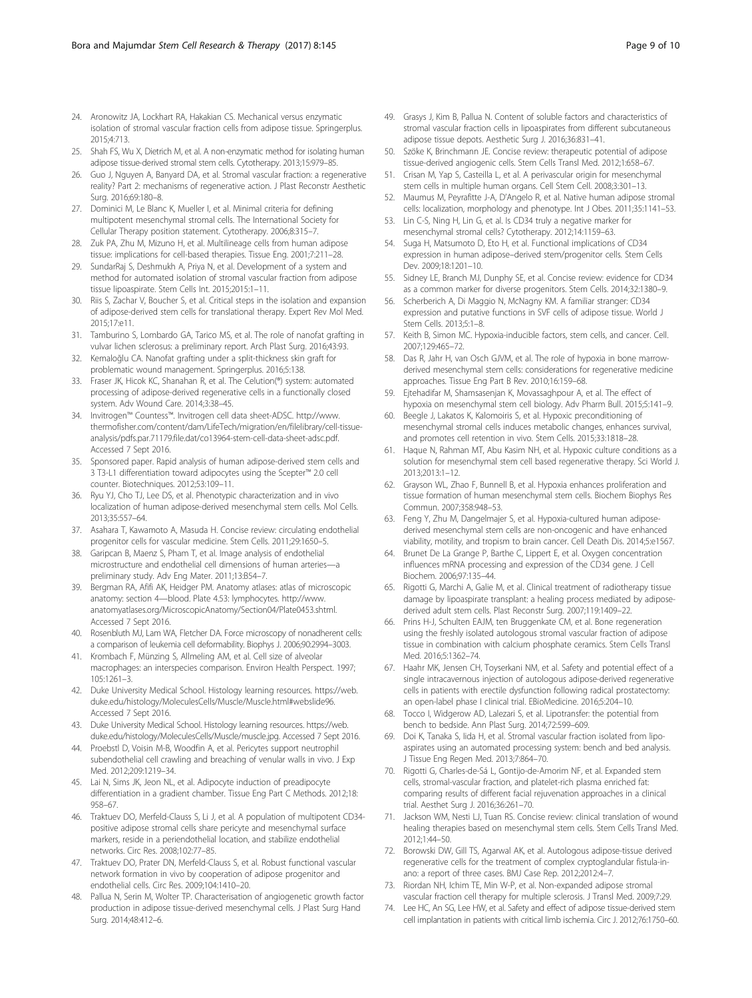- <span id="page-8-0"></span>24. Aronowitz JA, Lockhart RA, Hakakian CS. Mechanical versus enzymatic isolation of stromal vascular fraction cells from adipose tissue. Springerplus. 2015;4:713.
- 25. Shah FS, Wu X, Dietrich M, et al. A non-enzymatic method for isolating human adipose tissue-derived stromal stem cells. Cytotherapy. 2013;15:979–85.
- 26. Guo J, Nguyen A, Banyard DA, et al. Stromal vascular fraction: a regenerative reality? Part 2: mechanisms of regenerative action. J Plast Reconstr Aesthetic Surg. 2016;69:180–8.
- 27. Dominici M, Le Blanc K, Mueller I, et al. Minimal criteria for defining multipotent mesenchymal stromal cells. The International Society for Cellular Therapy position statement. Cytotherapy. 2006;8:315–7.
- 28. Zuk PA, Zhu M, Mizuno H, et al. Multilineage cells from human adipose tissue: implications for cell-based therapies. Tissue Eng. 2001;7:211–28.
- 29. SundarRaj S, Deshmukh A, Priya N, et al. Development of a system and method for automated isolation of stromal vascular fraction from adipose tissue lipoaspirate. Stem Cells Int. 2015;2015:1–11.
- 30. Riis S, Zachar V, Boucher S, et al. Critical steps in the isolation and expansion of adipose-derived stem cells for translational therapy. Expert Rev Mol Med. 2015;17:e11.
- 31. Tamburino S, Lombardo GA, Tarico MS, et al. The role of nanofat grafting in vulvar lichen sclerosus: a preliminary report. Arch Plast Surg. 2016;43:93.
- 32. Kemaloğlu CA. Nanofat grafting under a split-thickness skin graft for problematic wound management. Springerplus. 2016;5:138.
- 33. Fraser JK, Hicok KC, Shanahan R, et al. The Celution(®) system: automated processing of adipose-derived regenerative cells in a functionally closed system. Adv Wound Care. 2014;3:38–45.
- 34. Invitrogen™ Countess™. Invitrogen cell data sheet-ADSC. [http://www.](http://www.thermofisher.com/content/dam/LifeTech/migration/en/filelibrary/cell-tissue-analysis/pdfs.par.71179.file.dat/co13964-stem-cell-data-sheet-adsc.pdf) [thermofisher.com/content/dam/LifeTech/migration/en/filelibrary/cell-tissue](http://www.thermofisher.com/content/dam/LifeTech/migration/en/filelibrary/cell-tissue-analysis/pdfs.par.71179.file.dat/co13964-stem-cell-data-sheet-adsc.pdf)[analysis/pdfs.par.71179.file.dat/co13964-stem-cell-data-sheet-adsc.pdf.](http://www.thermofisher.com/content/dam/LifeTech/migration/en/filelibrary/cell-tissue-analysis/pdfs.par.71179.file.dat/co13964-stem-cell-data-sheet-adsc.pdf) Accessed 7 Sept 2016.
- 35. Sponsored paper. Rapid analysis of human adipose-derived stem cells and 3 T3-L1 differentiation toward adipocytes using the Scepter™ 2.0 cell counter. Biotechniques. 2012;53:109–11.
- 36. Ryu YJ, Cho TJ, Lee DS, et al. Phenotypic characterization and in vivo localization of human adipose-derived mesenchymal stem cells. Mol Cells. 2013;35:557–64.
- 37. Asahara T, Kawamoto A, Masuda H. Concise review: circulating endothelial progenitor cells for vascular medicine. Stem Cells. 2011;29:1650–5.
- 38. Garipcan B, Maenz S, Pham T, et al. Image analysis of endothelial microstructure and endothelial cell dimensions of human arteries—a preliminary study. Adv Eng Mater. 2011;13:B54–7.
- 39. Bergman RA, Afifi AK, Heidger PM. Anatomy atlases: atlas of microscopic anatomy: section 4—blood. Plate 4.53: lymphocytes. [http://www.](http://www.anatomyatlases.org/MicroscopicAnatomy/Section04/Plate0453.shtml) [anatomyatlases.org/MicroscopicAnatomy/Section04/Plate0453.shtml.](http://www.anatomyatlases.org/MicroscopicAnatomy/Section04/Plate0453.shtml) Accessed 7 Sept 2016.
- 40. Rosenbluth MJ, Lam WA, Fletcher DA. Force microscopy of nonadherent cells: a comparison of leukemia cell deformability. Biophys J. 2006;90:2994–3003.
- 41. Krombach F, Münzing S, Allmeling AM, et al. Cell size of alveolar macrophages: an interspecies comparison. Environ Health Perspect. 1997; 105:1261–3.
- 42. Duke University Medical School. Histology learning resources. [https://web.](https://web.duke.edu/histology/MoleculesCells/Muscle/Muscle.html#webslide96) [duke.edu/histology/MoleculesCells/Muscle/Muscle.html#webslide96](https://web.duke.edu/histology/MoleculesCells/Muscle/Muscle.html#webslide96). Accessed 7 Sept 2016.
- 43. Duke University Medical School. Histology learning resources. [https://web.](https://web.duke.edu/histology/MoleculesCells/Muscle/muscle.jpg) [duke.edu/histology/MoleculesCells/Muscle/muscle.jpg.](https://web.duke.edu/histology/MoleculesCells/Muscle/muscle.jpg) Accessed 7 Sept 2016.
- 44. Proebstl D, Voisin M-B, Woodfin A, et al. Pericytes support neutrophil subendothelial cell crawling and breaching of venular walls in vivo. J Exp Med. 2012;209:1219–34.
- 45. Lai N, Sims JK, Jeon NL, et al. Adipocyte induction of preadipocyte differentiation in a gradient chamber. Tissue Eng Part C Methods. 2012;18: 958–67.
- 46. Traktuev DO, Merfeld-Clauss S, Li J, et al. A population of multipotent CD34 positive adipose stromal cells share pericyte and mesenchymal surface markers, reside in a periendothelial location, and stabilize endothelial networks. Circ Res. 2008;102:77–85.
- 47. Traktuev DO, Prater DN, Merfeld-Clauss S, et al. Robust functional vascular network formation in vivo by cooperation of adipose progenitor and endothelial cells. Circ Res. 2009;104:1410–20.
- 48. Pallua N, Serin M, Wolter TP. Characterisation of angiogenetic growth factor production in adipose tissue-derived mesenchymal cells. J Plast Surg Hand Surg. 2014;48:412–6.
- 49. Grasys J, Kim B, Pallua N. Content of soluble factors and characteristics of stromal vascular fraction cells in lipoaspirates from different subcutaneous adipose tissue depots. Aesthetic Surg J. 2016;36:831–41.
- 50. Szöke K, Brinchmann JE. Concise review: therapeutic potential of adipose tissue-derived angiogenic cells. Stem Cells Transl Med. 2012;1:658–67.
- 51. Crisan M, Yap S, Casteilla L, et al. A perivascular origin for mesenchymal stem cells in multiple human organs. Cell Stem Cell. 2008;3:301–13.
- 52. Maumus M, Peyrafitte J-A, D'Angelo R, et al. Native human adipose stromal cells: localization, morphology and phenotype. Int J Obes. 2011;35:1141–53.
- 53. Lin C-S, Ning H, Lin G, et al. Is CD34 truly a negative marker for mesenchymal stromal cells? Cytotherapy. 2012;14:1159–63.
- 54. Suga H, Matsumoto D, Eto H, et al. Functional implications of CD34 expression in human adipose–derived stem/progenitor cells. Stem Cells Dev. 2009;18:1201–10.
- 55. Sidney LE, Branch MJ, Dunphy SE, et al. Concise review: evidence for CD34 as a common marker for diverse progenitors. Stem Cells. 2014;32:1380–9.
- 56. Scherberich A, Di Maggio N, McNagny KM. A familiar stranger: CD34 expression and putative functions in SVF cells of adipose tissue. World J Stem Cells. 2013;5:1–8.
- 57. Keith B, Simon MC. Hypoxia-inducible factors, stem cells, and cancer. Cell. 2007;129:465–72.
- 58. Das R, Jahr H, van Osch GJVM, et al. The role of hypoxia in bone marrowderived mesenchymal stem cells: considerations for regenerative medicine approaches. Tissue Eng Part B Rev. 2010;16:159–68.
- 59. Ejtehadifar M, Shamsasenjan K, Movassaghpour A, et al. The effect of hypoxia on mesenchymal stem cell biology. Adv Pharm Bull. 2015;5:141–9.
- 60. Beegle J, Lakatos K, Kalomoiris S, et al. Hypoxic preconditioning of mesenchymal stromal cells induces metabolic changes, enhances survival, and promotes cell retention in vivo. Stem Cells. 2015;33:1818–28.
- 61. Haque N, Rahman MT, Abu Kasim NH, et al. Hypoxic culture conditions as a solution for mesenchymal stem cell based regenerative therapy. Sci World J. 2013;2013:1–12.
- 62. Grayson WL, Zhao F, Bunnell B, et al. Hypoxia enhances proliferation and tissue formation of human mesenchymal stem cells. Biochem Biophys Res Commun. 2007;358:948–53.
- 63. Feng Y, Zhu M, Dangelmajer S, et al. Hypoxia-cultured human adiposederived mesenchymal stem cells are non-oncogenic and have enhanced viability, motility, and tropism to brain cancer. Cell Death Dis. 2014;5:e1567.
- 64. Brunet De La Grange P, Barthe C, Lippert E, et al. Oxygen concentration influences mRNA processing and expression of the CD34 gene. J Cell Biochem. 2006;97:135–44.
- 65. Rigotti G, Marchi A, Galie M, et al. Clinical treatment of radiotherapy tissue damage by lipoaspirate transplant: a healing process mediated by adiposederived adult stem cells. Plast Reconstr Surg. 2007;119:1409–22.
- 66. Prins H-J, Schulten EAJM, ten Bruggenkate CM, et al. Bone regeneration using the freshly isolated autologous stromal vascular fraction of adipose tissue in combination with calcium phosphate ceramics. Stem Cells Transl Med. 2016;5:1362–74.
- 67. Haahr MK, Jensen CH, Toyserkani NM, et al. Safety and potential effect of a single intracavernous injection of autologous adipose-derived regenerative cells in patients with erectile dysfunction following radical prostatectomy: an open-label phase I clinical trial. EBioMedicine. 2016;5:204–10.
- 68. Tocco I, Widgerow AD, Lalezari S, et al. Lipotransfer: the potential from bench to bedside. Ann Plast Surg. 2014;72:599–609.
- 69. Doi K, Tanaka S, Iida H, et al. Stromal vascular fraction isolated from lipoaspirates using an automated processing system: bench and bed analysis. J Tissue Eng Regen Med. 2013;7:864–70.
- 70. Rigotti G, Charles-de-Sá L, Gontijo-de-Amorim NF, et al. Expanded stem cells, stromal-vascular fraction, and platelet-rich plasma enriched fat: comparing results of different facial rejuvenation approaches in a clinical trial. Aesthet Surg J. 2016;36:261–70.
- 71. Jackson WM, Nesti LJ, Tuan RS. Concise review: clinical translation of wound healing therapies based on mesenchymal stem cells. Stem Cells Transl Med. 2012;1:44–50.
- 72. Borowski DW, Gill TS, Agarwal AK, et al. Autologous adipose-tissue derived regenerative cells for the treatment of complex cryptoglandular fistula-inano: a report of three cases. BMJ Case Rep. 2012;2012:4–7.
- 73. Riordan NH, Ichim TE, Min W-P, et al. Non-expanded adipose stromal vascular fraction cell therapy for multiple sclerosis. J Transl Med. 2009;7:29.
- 74. Lee HC, An SG, Lee HW, et al. Safety and effect of adipose tissue-derived stem cell implantation in patients with critical limb ischemia. Circ J. 2012;76:1750–60.